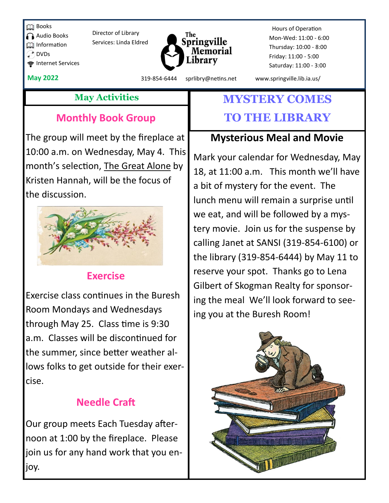**Books** 

Audio Books

**Information** 

Internet Services

 $^*$  DVDs

Director of Library Services: Linda Eldred



 Hours of Operation Mon-Wed: 11:00 - 6:00 Thursday: 10:00 - 8:00 Friday: 11:00 - 5:00 Saturday: 11:00 - 3:00

**May 2022** 319-854-6444 sprlibry@netins.net www.springville.lib.ia.us/

## **Monthly Book Group**

The group will meet by the fireplace at 10:00 a.m. on Wednesday, May 4. This month's selection, The Great Alone by Kristen Hannah, will be the focus of the discussion.



### **Exercise**

Exercise class continues in the Buresh Room Mondays and Wednesdays through May 25. Class time is 9:30 a.m. Classes will be discontinued for the summer, since better weather allows folks to get outside for their exercise.

## **Needle Craft**

Our group meets Each Tuesday afternoon at 1:00 by the fireplace. Please join us for any hand work that you enjoy.

# **May Activities MYSTERY COMES TO THE LIBRARY**

## **Mysterious Meal and Movie**

Mark your calendar for Wednesday, May 18, at 11:00 a.m. This month we'll have a bit of mystery for the event. The lunch menu will remain a surprise until we eat, and will be followed by a mystery movie. Join us for the suspense by calling Janet at SANSI (319-854-6100) or the library (319-854-6444) by May 11 to reserve your spot. Thanks go to Lena Gilbert of Skogman Realty for sponsoring the meal We'll look forward to seeing you at the Buresh Room!